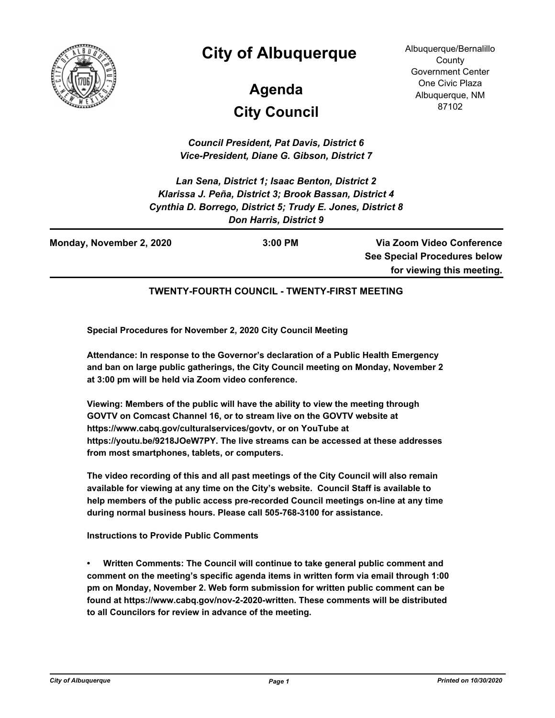

## **City of Albuquerque**

# **City Council Agenda**

Albuquerque/Bernalillo **County** Government Center One Civic Plaza Albuquerque, NM 87102

*Council President, Pat Davis, District 6 Vice-President, Diane G. Gibson, District 7*

*Lan Sena, District 1; Isaac Benton, District 2 Klarissa J. Peña, District 3; Brook Bassan, District 4 Cynthia D. Borrego, District 5; Trudy E. Jones, District 8 Don Harris, District 9*

| Monday, November 2, 2020 | $3:00$ PM | Via Zoom Video Conference           |
|--------------------------|-----------|-------------------------------------|
|                          |           | <b>See Special Procedures below</b> |
|                          |           | for viewing this meeting.           |

#### **TWENTY-FOURTH COUNCIL - TWENTY-FIRST MEETING**

**Special Procedures for November 2, 2020 City Council Meeting**

**Attendance: In response to the Governor's declaration of a Public Health Emergency and ban on large public gatherings, the City Council meeting on Monday, November 2 at 3:00 pm will be held via Zoom video conference.**

**Viewing: Members of the public will have the ability to view the meeting through GOVTV on Comcast Channel 16, or to stream live on the GOVTV website at https://www.cabq.gov/culturalservices/govtv, or on YouTube at https://youtu.be/9218JOeW7PY. The live streams can be accessed at these addresses from most smartphones, tablets, or computers.**

**The video recording of this and all past meetings of the City Council will also remain available for viewing at any time on the City's website. Council Staff is available to help members of the public access pre-recorded Council meetings on-line at any time during normal business hours. Please call 505-768-3100 for assistance.**

**Instructions to Provide Public Comments**

**• Written Comments: The Council will continue to take general public comment and comment on the meeting's specific agenda items in written form via email through 1:00 pm on Monday, November 2. Web form submission for written public comment can be found at https://www.cabq.gov/nov-2-2020-written. These comments will be distributed to all Councilors for review in advance of the meeting.**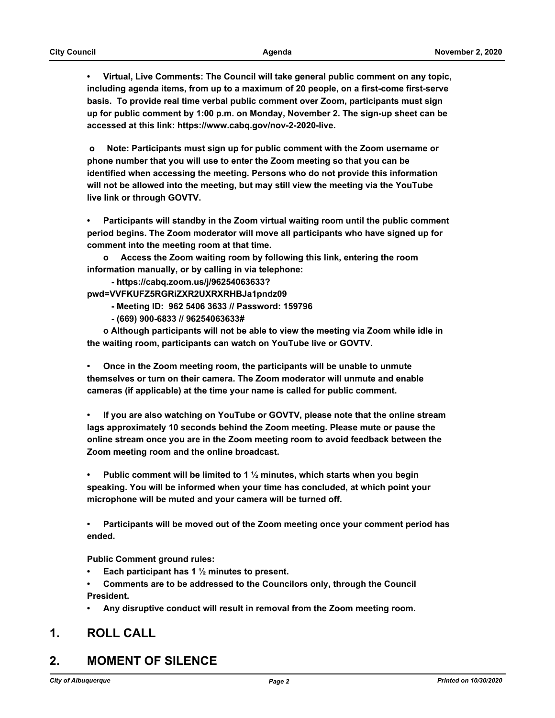**• Virtual, Live Comments: The Council will take general public comment on any topic, including agenda items, from up to a maximum of 20 people, on a first-come first-serve basis. To provide real time verbal public comment over Zoom, participants must sign up for public comment by 1:00 p.m. on Monday, November 2. The sign-up sheet can be accessed at this link: https://www.cabq.gov/nov-2-2020-live.**

 **o Note: Participants must sign up for public comment with the Zoom username or phone number that you will use to enter the Zoom meeting so that you can be identified when accessing the meeting. Persons who do not provide this information will not be allowed into the meeting, but may still view the meeting via the YouTube live link or through GOVTV.**

**• Participants will standby in the Zoom virtual waiting room until the public comment period begins. The Zoom moderator will move all participants who have signed up for comment into the meeting room at that time.** 

**o Access the Zoom waiting room by following this link, entering the room information manually, or by calling in via telephone:** 

 **- https://cabq.zoom.us/j/96254063633?**

**pwd=VVFKUFZ5RGRiZXR2UXRXRHBJa1pndz09** 

 **- Meeting ID: 962 5406 3633 // Password: 159796**

 **- (669) 900-6833 // 96254063633#**

**o Although participants will not be able to view the meeting via Zoom while idle in the waiting room, participants can watch on YouTube live or GOVTV.**

**• Once in the Zoom meeting room, the participants will be unable to unmute themselves or turn on their camera. The Zoom moderator will unmute and enable cameras (if applicable) at the time your name is called for public comment.**

**• If you are also watching on YouTube or GOVTV, please note that the online stream lags approximately 10 seconds behind the Zoom meeting. Please mute or pause the online stream once you are in the Zoom meeting room to avoid feedback between the Zoom meeting room and the online broadcast.**

**• Public comment will be limited to 1 ½ minutes, which starts when you begin speaking. You will be informed when your time has concluded, at which point your microphone will be muted and your camera will be turned off.**

**• Participants will be moved out of the Zoom meeting once your comment period has ended.**

**Public Comment ground rules:**

- **• Each participant has 1 ½ minutes to present.**
- **• Comments are to be addressed to the Councilors only, through the Council President.**
- **• Any disruptive conduct will result in removal from the Zoom meeting room.**

#### **1. ROLL CALL**

#### **2. MOMENT OF SILENCE**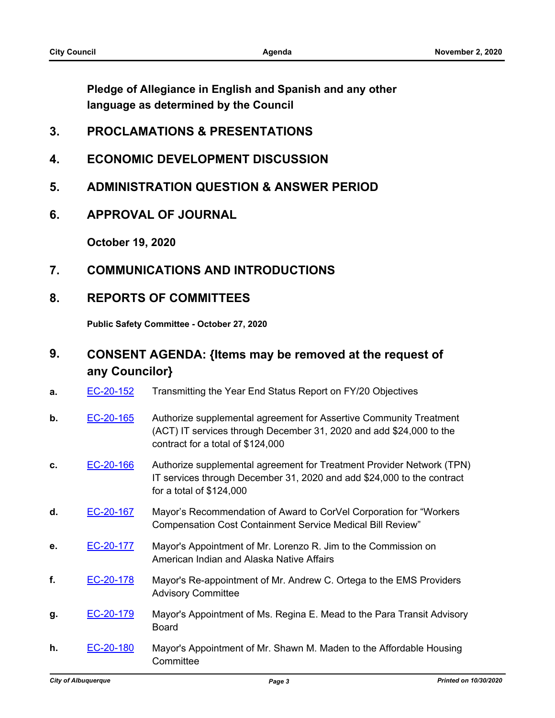**Pledge of Allegiance in English and Spanish and any other language as determined by the Council**

- **3. PROCLAMATIONS & PRESENTATIONS**
- **4. ECONOMIC DEVELOPMENT DISCUSSION**
- **5. ADMINISTRATION QUESTION & ANSWER PERIOD**
- **6. APPROVAL OF JOURNAL**

**October 19, 2020**

**7. COMMUNICATIONS AND INTRODUCTIONS**

#### **8. REPORTS OF COMMITTEES**

**Public Safety Committee - October 27, 2020**

## **9. CONSENT AGENDA: {Items may be removed at the request of any Councilor}**

- **a.** [EC-20-152](http://cabq.legistar.com/gateway.aspx?m=l&id=/matter.aspx?key=12150) Transmitting the Year End Status Report on FY/20 Objectives
- **b.** [EC-20-165](http://cabq.legistar.com/gateway.aspx?m=l&id=/matter.aspx?key=12165) Authorize supplemental agreement for Assertive Community Treatment (ACT) IT services through December 31, 2020 and add \$24,000 to the contract for a total of \$124,000
- **c.** [EC-20-166](http://cabq.legistar.com/gateway.aspx?m=l&id=/matter.aspx?key=12166) Authorize supplemental agreement for Treatment Provider Network (TPN) IT services through December 31, 2020 and add \$24,000 to the contract for a total of \$124,000
- **d.** [EC-20-167](http://cabq.legistar.com/gateway.aspx?m=l&id=/matter.aspx?key=12167) Mayor's Recommendation of Award to CorVel Corporation for "Workers Compensation Cost Containment Service Medical Bill Review"
- **e.** [EC-20-177](http://cabq.legistar.com/gateway.aspx?m=l&id=/matter.aspx?key=12190) Mayor's Appointment of Mr. Lorenzo R. Jim to the Commission on American Indian and Alaska Native Affairs
- **f.** [EC-20-178](http://cabq.legistar.com/gateway.aspx?m=l&id=/matter.aspx?key=12191) Mayor's Re-appointment of Mr. Andrew C. Ortega to the EMS Providers Advisory Committee
- **g.** [EC-20-179](http://cabq.legistar.com/gateway.aspx?m=l&id=/matter.aspx?key=12192) Mayor's Appointment of Ms. Regina E. Mead to the Para Transit Advisory Board
- **h.** [EC-20-180](http://cabq.legistar.com/gateway.aspx?m=l&id=/matter.aspx?key=12193) Mayor's Appointment of Mr. Shawn M. Maden to the Affordable Housing **Committee**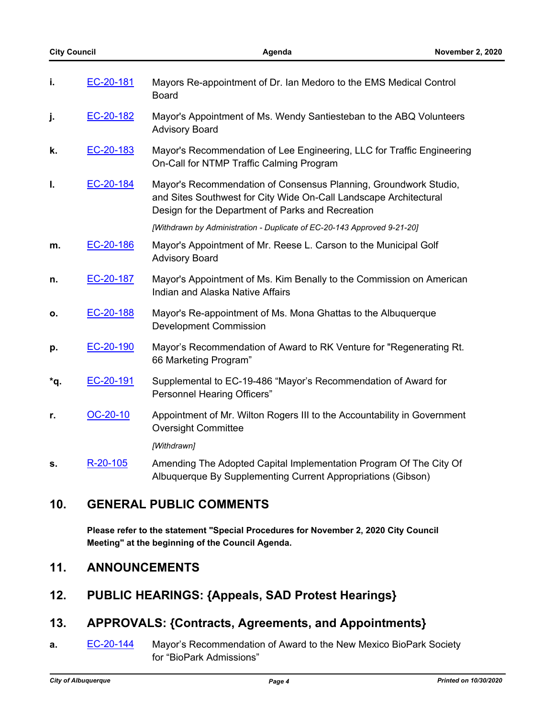| i.  | EC-20-181 | Mayors Re-appointment of Dr. Ian Medoro to the EMS Medical Control<br><b>Board</b>                                                                                                         |
|-----|-----------|--------------------------------------------------------------------------------------------------------------------------------------------------------------------------------------------|
| j.  | EC-20-182 | Mayor's Appointment of Ms. Wendy Santiesteban to the ABQ Volunteers<br><b>Advisory Board</b>                                                                                               |
| k.  | EC-20-183 | Mayor's Recommendation of Lee Engineering, LLC for Traffic Engineering<br>On-Call for NTMP Traffic Calming Program                                                                         |
| I.  | EC-20-184 | Mayor's Recommendation of Consensus Planning, Groundwork Studio,<br>and Sites Southwest for City Wide On-Call Landscape Architectural<br>Design for the Department of Parks and Recreation |
|     |           | [Withdrawn by Administration - Duplicate of EC-20-143 Approved 9-21-20]                                                                                                                    |
| m.  | EC-20-186 | Mayor's Appointment of Mr. Reese L. Carson to the Municipal Golf<br><b>Advisory Board</b>                                                                                                  |
| n.  | EC-20-187 | Mayor's Appointment of Ms. Kim Benally to the Commission on American<br>Indian and Alaska Native Affairs                                                                                   |
| О.  | EC-20-188 | Mayor's Re-appointment of Ms. Mona Ghattas to the Albuquerque<br><b>Development Commission</b>                                                                                             |
| p.  | EC-20-190 | Mayor's Recommendation of Award to RK Venture for "Regenerating Rt.<br>66 Marketing Program"                                                                                               |
| *q. | EC-20-191 | Supplemental to EC-19-486 "Mayor's Recommendation of Award for<br><b>Personnel Hearing Officers"</b>                                                                                       |
| r.  | OC-20-10  | Appointment of Mr. Wilton Rogers III to the Accountability in Government<br><b>Oversight Committee</b>                                                                                     |
|     |           | [Withdrawn]                                                                                                                                                                                |
| s.  | R-20-105  | Amending The Adopted Capital Implementation Program Of The City Of<br>Albuquerque By Supplementing Current Appropriations (Gibson)                                                         |

## **10. GENERAL PUBLIC COMMENTS**

**Please refer to the statement "Special Procedures for November 2, 2020 City Council Meeting" at the beginning of the Council Agenda.**

## **11. ANNOUNCEMENTS**

**12. PUBLIC HEARINGS: {Appeals, SAD Protest Hearings}**

## **13. APPROVALS: {Contracts, Agreements, and Appointments}**

**a. [EC-20-144](http://cabq.legistar.com/gateway.aspx?m=l&id=/matter.aspx?key=12127)** Mayor's Recommendation of Award to the New Mexico BioPark Society for "BioPark Admissions"